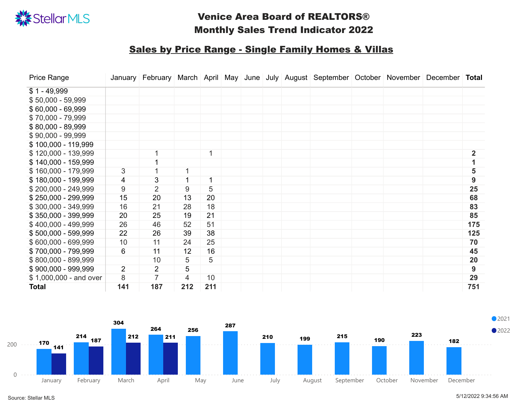

| <b>Price Range</b>     |                 | January February |                |     |  |  | March   April   May   June   July   August   September   October |  | November   December | Total |
|------------------------|-----------------|------------------|----------------|-----|--|--|------------------------------------------------------------------|--|---------------------|-------|
| $$1 - 49,999$          |                 |                  |                |     |  |  |                                                                  |  |                     |       |
| $$50,000 - 59,999$     |                 |                  |                |     |  |  |                                                                  |  |                     |       |
| $$60,000 - 69,999$     |                 |                  |                |     |  |  |                                                                  |  |                     |       |
| $$70,000 - 79,999$     |                 |                  |                |     |  |  |                                                                  |  |                     |       |
| $$80,000 - 89,999$     |                 |                  |                |     |  |  |                                                                  |  |                     |       |
| $$90,000 - 99,999$     |                 |                  |                |     |  |  |                                                                  |  |                     |       |
| $$100,000 - 119,999$   |                 |                  |                |     |  |  |                                                                  |  |                     |       |
| $$120,000 - 139,999$   |                 |                  |                |     |  |  |                                                                  |  |                     |       |
| $$140,000 - 159,999$   |                 |                  |                |     |  |  |                                                                  |  |                     |       |
| $$160,000 - 179,999$   | $3\overline{3}$ |                  |                |     |  |  |                                                                  |  |                     | 5     |
| \$180,000 - 199,999    | $\overline{4}$  | 3 <sup>°</sup>   | $\overline{1}$ |     |  |  |                                                                  |  |                     | 9     |
| $$200,000 - 249,999$   | 9               | $\overline{2}$   | 9              | 5   |  |  |                                                                  |  |                     | 25    |
| $$250,000 - 299,999$   | 15              | 20               | 13             | 20  |  |  |                                                                  |  |                     | 68    |
| $$300,000 - 349,999$   | 16              | 21               | 28             | 18  |  |  |                                                                  |  |                     | 83    |
| $$350,000 - 399,999$   | 20              | 25               | 19             | 21  |  |  |                                                                  |  |                     | 85    |
| $$400,000 - 499,999$   | 26              | 46               | 52             | 51  |  |  |                                                                  |  |                     | 175   |
| $$500,000 - 599,999$   | 22              | 26               | 39             | 38  |  |  |                                                                  |  |                     | 125   |
| $$600,000 - 699,999$   | 10              | 11               | 24             | 25  |  |  |                                                                  |  |                     | 70    |
| \$700,000 - 799,999    | 6               | 11               | 12             | 16  |  |  |                                                                  |  |                     | 45    |
| $$800,000 - 899,999$   |                 | 10               | 5              | 5   |  |  |                                                                  |  |                     | 20    |
| $$900,000 - 999,999$   | $\overline{2}$  | $\overline{2}$   | 5              |     |  |  |                                                                  |  |                     | 9     |
| \$1,000,000 - and over | 8               |                  | $\overline{4}$ | 10  |  |  |                                                                  |  |                     | 29    |
| <b>Total</b>           | 141             | 187              | 212            | 211 |  |  |                                                                  |  |                     | 751   |





### Sales by Price Range - Single Family Homes & Villas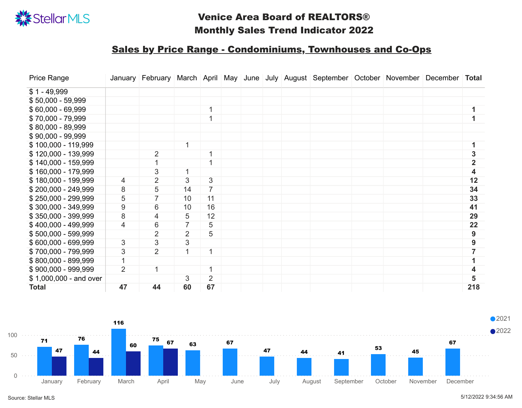| <b>Price Range</b>     |                | January February |                 |                |  |  | March   April   May   June   July   August   September   October   November   December   Total |  |              |
|------------------------|----------------|------------------|-----------------|----------------|--|--|------------------------------------------------------------------------------------------------|--|--------------|
| $$1 - 49,999$          |                |                  |                 |                |  |  |                                                                                                |  |              |
| $$50,000 - 59,999$     |                |                  |                 |                |  |  |                                                                                                |  |              |
| $$60,000 - 69,999$     |                |                  |                 |                |  |  |                                                                                                |  |              |
| $$70,000 - 79,999$     |                |                  |                 |                |  |  |                                                                                                |  |              |
| $$80,000 - 89,999$     |                |                  |                 |                |  |  |                                                                                                |  |              |
| $$90,000 - 99,999$     |                |                  |                 |                |  |  |                                                                                                |  |              |
| $$100,000 - 119,999$   |                |                  | 1               |                |  |  |                                                                                                |  |              |
| $$120,000 - 139,999$   |                | $\overline{2}$   |                 |                |  |  |                                                                                                |  |              |
| $$140,000 - 159,999$   |                |                  |                 |                |  |  |                                                                                                |  | $\mathbf{2}$ |
| $$160,000 - 179,999$   |                | $3\overline{)}$  | 1               |                |  |  |                                                                                                |  | 4            |
| $$180,000 - 199,999$   | $\overline{4}$ | $\overline{2}$   | $3\overline{)}$ | 3 <sup>1</sup> |  |  |                                                                                                |  | 12           |
| $$200,000 - 249,999$   | 8              | 5                | 14              | 7 <sup>1</sup> |  |  |                                                                                                |  | 34           |
| $$250,000 - 299,999$   | 5              |                  | 10              | 11             |  |  |                                                                                                |  | 33           |
| $$300,000 - 349,999$   | 9              | 6                | 10              | 16             |  |  |                                                                                                |  | 41           |
| $$350,000 - 399,999$   | 8              | $\overline{4}$   | 5               | 12             |  |  |                                                                                                |  | 29           |
| $$400,000 - 499,999$   | $\overline{4}$ | 6                |                 | 5              |  |  |                                                                                                |  | 22           |
| $$500,000 - 599,999$   |                | $\overline{2}$   | $\overline{2}$  | 5              |  |  |                                                                                                |  | 9            |
| $$600,000 - 699,999$   | 3              | $3\overline{)}$  | 3               |                |  |  |                                                                                                |  | 9            |
| $$700,000 - 799,999$   | 3              | 2 <sup>1</sup>   |                 |                |  |  |                                                                                                |  |              |
| $$800,000 - 899,999$   |                |                  |                 |                |  |  |                                                                                                |  |              |
| $$900,000 - 999,999$   | $\overline{2}$ |                  |                 |                |  |  |                                                                                                |  |              |
| \$1,000,000 - and over |                |                  | 3               | 2 <sup>1</sup> |  |  |                                                                                                |  |              |
| <b>Total</b>           | 47             | 44               | 60              | 67             |  |  |                                                                                                |  | 218          |





#### Sales by Price Range - Condominiums, Townhouses and Co-Ops

Source: Stellar MLS 5/12/2022 9:34:56 AM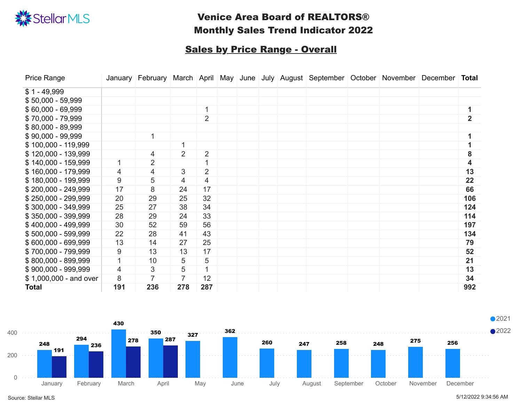| <b>Price Range</b>     |     |                |                |                      |  |  | January   February   March   April   May   June   July   August   September   October   November   December   Total |  |              |
|------------------------|-----|----------------|----------------|----------------------|--|--|---------------------------------------------------------------------------------------------------------------------|--|--------------|
| $$1 - 49,999$          |     |                |                |                      |  |  |                                                                                                                     |  |              |
| $$50,000 - 59,999$     |     |                |                |                      |  |  |                                                                                                                     |  |              |
| $$60,000 - 69,999$     |     |                |                |                      |  |  |                                                                                                                     |  |              |
| $$70,000 - 79,999$     |     |                |                | $\overline{2}$       |  |  |                                                                                                                     |  | $\mathbf{2}$ |
| $$80,000 - 89,999$     |     |                |                |                      |  |  |                                                                                                                     |  |              |
| $$90,000 - 99,999$     |     |                |                |                      |  |  |                                                                                                                     |  |              |
| $$100,000 - 119,999$   |     |                |                |                      |  |  |                                                                                                                     |  |              |
| $$120,000 - 139,999$   |     | 4              | $\overline{2}$ | $\overline{2}$       |  |  |                                                                                                                     |  | 8            |
| $$140,000 - 159,999$   |     | $\overline{2}$ |                | $\blacktriangleleft$ |  |  |                                                                                                                     |  | 4            |
| $$160,000 - 179,999$   | 4   | $\overline{4}$ | 3              | $\overline{2}$       |  |  |                                                                                                                     |  | 13           |
| \$180,000 - 199,999    | 9   | 5              | $\overline{4}$ | $\overline{4}$       |  |  |                                                                                                                     |  | 22           |
| $$200,000 - 249,999$   | 17  | 8              | 24             | 17                   |  |  |                                                                                                                     |  | 66           |
| $$250,000 - 299,999$   | 20  | 29             | 25             | 32                   |  |  |                                                                                                                     |  | 106          |
| $$300,000 - 349,999$   | 25  | 27             | 38             | 34                   |  |  |                                                                                                                     |  | 124          |
| $$350,000 - 399,999$   | 28  | 29             | 24             | 33                   |  |  |                                                                                                                     |  | 114          |
| $$400,000 - 499,999$   | 30  | 52             | 59             | 56                   |  |  |                                                                                                                     |  | 197          |
| $$500,000 - 599,999$   | 22  | 28             | 41             | 43                   |  |  |                                                                                                                     |  | 134          |
| $$600,000 - 699,999$   | 13  | 14             | 27             | 25                   |  |  |                                                                                                                     |  | 79           |
| \$700,000 - 799,999    | 9   | 13             | 13             | 17                   |  |  |                                                                                                                     |  | 52           |
| $$800,000 - 899,999$   |     | 10             | 5              | 5                    |  |  |                                                                                                                     |  | 21           |
| \$900,000 - 999,999    | 4   | 3              | 5              |                      |  |  |                                                                                                                     |  | 13           |
| \$1,000,000 - and over | 8   |                | $\overline{7}$ | 12                   |  |  |                                                                                                                     |  | 34           |
| <b>Total</b>           | 191 | 236            | 278            | 287                  |  |  |                                                                                                                     |  | 992          |



![](_page_2_Picture_0.jpeg)

#### **Sales by Price Range - Overall**

Source: Stellar MLS 5/12/2022 9:34:56 AM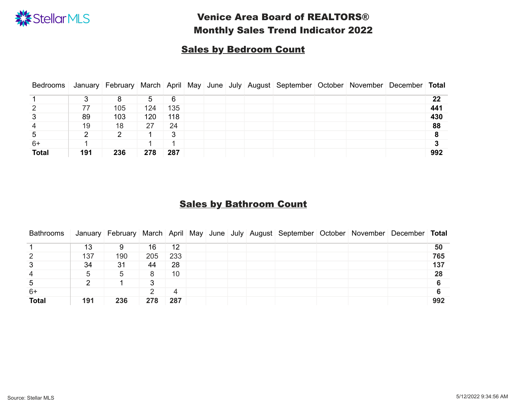|                |     |                |     |                |  |  | Bedrooms   January   February   March   April   May   June   July   August   September   October   November   December   Total |  |     |
|----------------|-----|----------------|-----|----------------|--|--|--------------------------------------------------------------------------------------------------------------------------------|--|-----|
|                |     |                | 5   | 6              |  |  |                                                                                                                                |  | 22  |
| $\overline{2}$ |     | 105            | 124 | 135            |  |  |                                                                                                                                |  | 441 |
| 3              | 89  | 103            | 120 | 118            |  |  |                                                                                                                                |  | 430 |
| $\overline{4}$ | 19  | 18             | 27  | 24             |  |  |                                                                                                                                |  | 88  |
| 5              |     | $\overline{2}$ |     | 3 <sup>°</sup> |  |  |                                                                                                                                |  | 8   |
| $6+$           |     |                |     |                |  |  |                                                                                                                                |  |     |
| <b>Total</b>   | 191 | 236            | 278 | 287            |  |  |                                                                                                                                |  | 992 |

#### **Sales by Bathroom Count**

| <b>Bathrooms</b> |     |     |     |     |  |  | January February   March   April   May   June   July   August   September   October   November   December   Total |  |     |
|------------------|-----|-----|-----|-----|--|--|-------------------------------------------------------------------------------------------------------------------|--|-----|
|                  | 13  | 9   | 16  | 12  |  |  |                                                                                                                   |  | 50  |
| $\overline{2}$   | 137 | 190 | 205 | 233 |  |  |                                                                                                                   |  | 765 |
| $3\overline{3}$  | 34  | 31  | 44  | 28  |  |  |                                                                                                                   |  | 137 |
| 4                | 5   | 5   | 8   | 10  |  |  |                                                                                                                   |  | 28  |
| 5                |     |     | 3   |     |  |  |                                                                                                                   |  |     |
| $6+$             |     |     |     | 4   |  |  |                                                                                                                   |  |     |
| <b>Total</b>     | 191 | 236 | 278 | 287 |  |  |                                                                                                                   |  | 992 |

![](_page_3_Picture_0.jpeg)

# Venice Area Board of REALTORS® Monthly Sales Trend Indicator 2022

#### Sales by Bedroom Count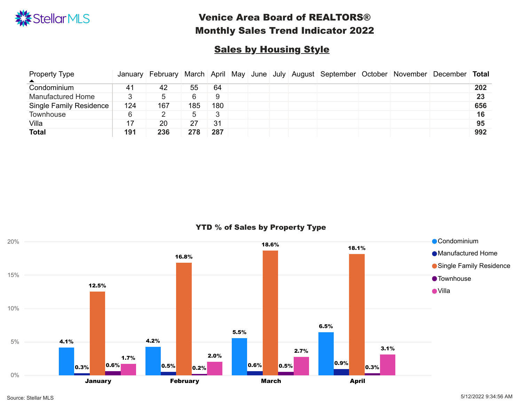| <b>Property Type</b><br>$\blacktriangle$ |     |     |     |     |  |  | January   February   March   April   May   June   July   August   September   October   November   December   Total |  |     |
|------------------------------------------|-----|-----|-----|-----|--|--|---------------------------------------------------------------------------------------------------------------------|--|-----|
| Condominium                              | 41  | 42  | 55  | 64  |  |  |                                                                                                                     |  | 202 |
| <b>Manufactured Home</b>                 |     |     | 6   | 9   |  |  |                                                                                                                     |  | 23  |
| <b>Single Family Residence</b>           | 124 | 167 | 185 | 180 |  |  |                                                                                                                     |  | 656 |
| Townhouse                                | 6   |     | 5   |     |  |  |                                                                                                                     |  | 16  |
| Villa                                    |     | 20  | 27  | 31  |  |  |                                                                                                                     |  | 95  |
| <b>Total</b>                             | 191 | 236 | 278 | 287 |  |  |                                                                                                                     |  | 992 |

![](_page_4_Picture_0.jpeg)

# **Sales by Housing Style**

YTD % of Sales by Property Type

![](_page_4_Figure_5.jpeg)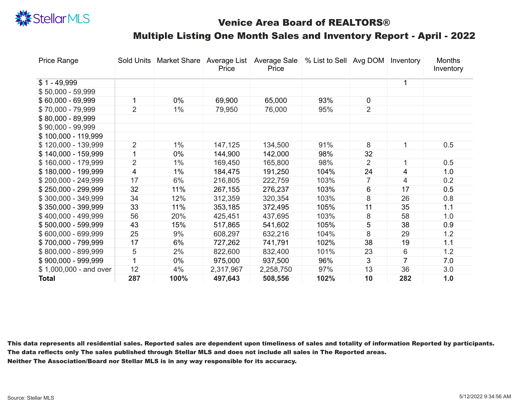| <b>Price Range</b>     | <b>Sold Units</b> | <b>Market Share</b> | <b>Average List</b><br><b>Price</b> | <b>Average Sale</b><br>Price | % List to Sell Avg DOM |                 | Inventory               | <b>Months</b><br>Inventory |
|------------------------|-------------------|---------------------|-------------------------------------|------------------------------|------------------------|-----------------|-------------------------|----------------------------|
| $$1 - 49,999$          |                   |                     |                                     |                              |                        |                 |                         |                            |
| $$50,000 - 59,999$     |                   |                     |                                     |                              |                        |                 |                         |                            |
| $$60,000 - 69,999$     |                   | $0\%$               | 69,900                              | 65,000                       | 93%                    | $\overline{0}$  |                         |                            |
| $$70,000 - 79,999$     | $\overline{2}$    | $1\%$               | 79,950                              | 76,000                       | 95%                    | $\overline{2}$  |                         |                            |
| $$80,000 - 89,999$     |                   |                     |                                     |                              |                        |                 |                         |                            |
| $$90,000 - 99,999$     |                   |                     |                                     |                              |                        |                 |                         |                            |
| $$100,000 - 119,999$   |                   |                     |                                     |                              |                        |                 |                         |                            |
| $$120,000 - 139,999$   | 2                 | $1\%$               | 147,125                             | 134,500                      | 91%                    | 8               |                         | 0.5                        |
| $$140,000 - 159,999$   |                   | $0\%$               | 144,900                             | 142,000                      | 98%                    | 32              |                         |                            |
| $$160,000 - 179,999$   | $\overline{2}$    | $1\%$               | 169,450                             | 165,800                      | 98%                    | $\overline{2}$  |                         | 0.5                        |
| $$180,000 - 199,999$   | $\overline{4}$    | $1\%$               | 184,475                             | 191,250                      | 104%                   | 24              | $\overline{4}$          | 1.0                        |
| $$200,000 - 249,999$   | 17                | 6%                  | 216,805                             | 222,759                      | 103%                   |                 | $\overline{4}$          | 0.2                        |
| $$250,000 - 299,999$   | 32                | 11%                 | 267,155                             | 276,237                      | 103%                   | 6               | 17                      | 0.5                        |
| $$300,000 - 349,999$   | 34                | 12%                 | 312,359                             | 320,354                      | 103%                   | 8               | 26                      | 0.8                        |
| \$350,000 - 399,999    | 33                | 11%                 | 353,185                             | 372,495                      | 105%                   | 11              | 35                      | 1.1                        |
| $$400,000 - 499,999$   | 56                | 20%                 | 425,451                             | 437,695                      | 103%                   | 8               | 58                      | 1.0                        |
| $$500,000 - 599,999$   | 43                | 15%                 | 517,865                             | 541,602                      | 105%                   | 5               | 38                      | 0.9                        |
| $$600,000 - 699,999$   | 25                | 9%                  | 608,297                             | 632,216                      | 104%                   | 8               | 29                      | 1.2                        |
| \$700,000 - 799,999    | 17                | 6%                  | 727,262                             | 741,791                      | 102%                   | 38              | 19                      | 1.1                        |
| $$800,000 - 899,999$   | 5                 | $2\%$               | 822,600                             | 832,400                      | 101%                   | 23              | 6                       | 1.2                        |
| $$900,000 - 999,999$   |                   | $0\%$               | 975,000                             | 937,500                      | 96%                    | $3\overline{3}$ | $\overline{\mathbf{7}}$ | 7.0                        |
| \$1,000,000 - and over | 12                | 4%                  | 2,317,967                           | 2,258,750                    | 97%                    | 13              | 36                      | 3.0                        |
| <b>Total</b>           | 287               | 100%                | 497,643                             | 508,556                      | 102%                   | 10              | 282                     | 1.0                        |

![](_page_5_Picture_0.jpeg)

# Venice Area Board of REALTORS® Multiple Listing One Month Sales and Inventory Report - April - 2022

This data represents all residential sales. Reported sales are dependent upon timeliness of sales and totality of information Reported by participants. The data reflects only The sales published through Stellar MLS and does not include all sales in The Reported areas. Neither The Association/Board nor Stellar MLS is in any way responsible for its accuracy.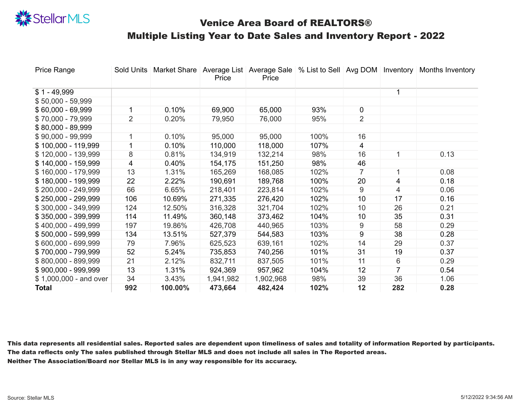| <b>Price Range</b>      | <b>Sold Units</b> | <b>Market Share</b> | <b>Average List</b><br><b>Price</b> | <b>Price</b> | Average Sale   % List to Sell   Avg DOM |                | Inventory                | <b>Months Inventory</b> |
|-------------------------|-------------------|---------------------|-------------------------------------|--------------|-----------------------------------------|----------------|--------------------------|-------------------------|
| $$1 - 49,999$           |                   |                     |                                     |              |                                         |                |                          |                         |
| $$50,000 - 59,999$      |                   |                     |                                     |              |                                         |                |                          |                         |
| $$60,000 - 69,999$      |                   | 0.10%               | 69,900                              | 65,000       | 93%                                     | $\overline{0}$ |                          |                         |
| $$70,000 - 79,999$      | $\overline{2}$    | 0.20%               | 79,950                              | 76,000       | 95%                                     | $\overline{2}$ |                          |                         |
| $$80,000 - 89,999$      |                   |                     |                                     |              |                                         |                |                          |                         |
| $$90,000 - 99,999$      |                   | 0.10%               | 95,000                              | 95,000       | 100%                                    | 16             |                          |                         |
| $$100,000 - 119,999$    |                   | 0.10%               | 110,000                             | 118,000      | 107%                                    | $\overline{4}$ |                          |                         |
| \$120,000 - 139,999     | 8                 | 0.81%               | 134,919                             | 132,214      | 98%                                     | 16             |                          | 0.13                    |
| $$140,000 - 159,999$    | $\overline{4}$    | 0.40%               | 154,175                             | 151,250      | 98%                                     | 46             |                          |                         |
| $$160,000 - 179,999$    | 13                | 1.31%               | 165,269                             | 168,085      | 102%                                    |                |                          | 0.08                    |
| $$180,000 - 199,999$    | 22                | 2.22%               | 190,691                             | 189,768      | 100%                                    | 20             | $\overline{4}$           | 0.18                    |
| $$200,000 - 249,999$    | 66                | 6.65%               | 218,401                             | 223,814      | 102%                                    | 9              | $\overline{4}$           | 0.06                    |
| $$250,000 - 299,999$    | 106               | 10.69%              | 271,335                             | 276,420      | 102%                                    | 10             | 17                       | 0.16                    |
| $$300,000 - 349,999$    | 124               | 12.50%              | 316,328                             | 321,704      | 102%                                    | 10             | 26                       | 0.21                    |
| $$350,000 - 399,999$    | 114               | 11.49%              | 360,148                             | 373,462      | 104%                                    | 10             | 35                       | 0.31                    |
| $$400,000 - 499,999$    | 197               | 19.86%              | 426,708                             | 440,965      | 103%                                    | 9              | 58                       | 0.29                    |
| $$500,000 - 599,999$    | 134               | 13.51%              | 527,379                             | 544,583      | 103%                                    | 9              | 38                       | 0.28                    |
| $$600,000 - 699,999$    | 79                | 7.96%               | 625,523                             | 639,161      | 102%                                    | 14             | 29                       | 0.37                    |
| \$700,000 - 799,999     | 52                | 5.24%               | 735,853                             | 740,256      | 101%                                    | 31             | 19                       | 0.37                    |
| $$800,000 - 899,999$    | 21                | 2.12%               | 832,711                             | 837,505      | 101%                                    | 11             | 6                        | 0.29                    |
| $$900,000 - 999,999$    | 13                | 1.31%               | 924,369                             | 957,962      | 104%                                    | 12             | $\overline{\mathcal{I}}$ | 0.54                    |
| $$1,000,000$ - and over | 34                | 3.43%               | 1,941,982                           | 1,902,968    | 98%                                     | 39             | 36                       | 1.06                    |
| <b>Total</b>            | 992               | 100.00%             | 473,664                             | 482,424      | 102%                                    | 12             | 282                      | 0.28                    |

![](_page_6_Picture_0.jpeg)

# Venice Area Board of REALTORS® Multiple Listing Year to Date Sales and Inventory Report - 2022

This data represents all residential sales. Reported sales are dependent upon timeliness of sales and totality of information Reported by participants. The data reflects only The sales published through Stellar MLS and does not include all sales in The Reported areas. Neither The Association/Board nor Stellar MLS is in any way responsible for its accuracy.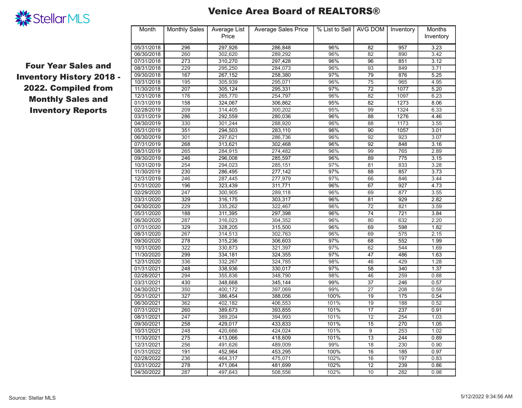| Month      | <b>Monthly Sales</b> | <b>Average List</b><br><b>Price</b> | <b>Average Sales Price</b> | % List to Sell | AVG DOM | Inventory | <b>Months</b><br>Inventory |
|------------|----------------------|-------------------------------------|----------------------------|----------------|---------|-----------|----------------------------|
| 05/31/2018 | 296                  | 297,926                             | 286,848                    | 96%            | 82      | 957       | 3.23                       |
| 06/30/2018 | 260                  | 302,620                             | 289,292                    | 96%            | 82      | 890       | 3.42                       |
| 07/31/2018 | 273                  | 310,270                             | 297,428                    | 96%            | 96      | 851       | 3.12                       |
| 08/31/2018 | 229                  | 295,250                             | 284,073                    | 96%            | 93      | 849       | 3.71                       |
| 09/30/2018 | 167                  | 267,152                             | 258,380                    | 97%            | 79      | 876       | 5.25                       |
| 10/31/2018 | 195                  | 305,939                             | 295,071                    | 96%            | 75      | 965       | 4.95                       |
| 11/30/2018 | 207                  | 305,124                             | 295,331                    | 97%            | 72      | 1077      | 5.20                       |
| 12/31/2018 | 176                  | 265,770                             | 254,797                    | 96%            | 82      | 1097      | 6.23                       |
| 01/31/2019 | 158                  | 324,067                             | 306,862                    | 95%            | 82      | 1273      | 8.06                       |
| 02/28/2019 | 209                  | 314,405                             | 300,202                    | 95%            | 99      | 1324      | 6.33                       |
| 03/31/2019 | 286                  | 292,559                             | 280,036                    | 96%            | 88      | 1276      | 4.46                       |
| 04/30/2019 | 330                  | 301,244                             | 288,920                    | 96%            | 88      | 1173      | 3.55                       |
| 05/31/2019 | 351                  | 294,503                             | 283,110                    | 96%            | 90      | 1057      | 3.01                       |
| 06/30/2019 | 301                  | 297,621                             | 286,736                    | 96%            | 92      | 923       | 3.07                       |
| 07/31/2019 | 268                  | 313,621                             | 302,468                    | 96%            | 92      | 848       | 3.16                       |
| 08/31/2019 | 265                  | 284,915                             | 274,482                    | 96%            | 99      | 765       | 2.89                       |
| 09/30/2019 | 246                  | 296,008                             | 285,597                    | 96%            | 89      | 775       | 3.15                       |
| 10/31/2019 | 254                  | 294,023                             | 285,151                    | 97%            | 81      | 833       | 3.28                       |
| 11/30/2019 | 230                  | 286,495                             | 277,142                    | 97%            | 88      | 857       | 3.73                       |
| 12/31/2019 | 246                  | 287,445                             | 277,979                    | 97%            | 66      | 846       | 3.44                       |
| 01/31/2020 | 196                  | 323,439                             | 311,771                    | 96%            | 67      | 927       | 4.73                       |
| 02/29/2020 | 247                  | 300,905                             | 289,118                    | 96%            | 69      | 877       | 3.55                       |
| 03/31/2020 | 329                  | 316,175                             | 303,317                    | 96%            | 81      | 929       | 2.82                       |
| 04/30/2020 | 229                  | 335,262                             | 322,467                    | 96%            | 72      | 821       | 3.59                       |
| 05/31/2020 | 188                  | 311,395                             | 297,398                    | 96%            | 74      | 721       | 3.84                       |
| 06/30/2020 | 287                  | 316,023                             | 304,352                    | 96%            | 80      | 632       | 2.20                       |
| 07/31/2020 | 329                  | 328,205                             | 315,500                    | 96%            | 69      | 598       | 1.82                       |
| 08/31/2020 | 267                  | 314,513                             | 302,763                    | 96%            | 69      | 575       | 2.15                       |
| 09/30/2020 | 278                  | 315,236                             | 306,603                    | 97%            | 68      | 552       | 1.99                       |
| 10/31/2020 | 322                  | 330,873                             | 321,397                    | 97%            | 62      | 544       | 1.69                       |
| 11/30/2020 | 299                  | 334,181                             | 324,355                    | 97%            | 47      | 486       | 1.63                       |
| 12/31/2020 | 336                  | 332,267                             | 324,785                    | 98%            | 46      | 429       | 1.28                       |
| 01/31/2021 | 248                  | 338,936                             | 330,017                    | 97%            | 58      | 340       | 1.37                       |
| 02/28/2021 | 294                  | 355,836                             | 348,790                    | 98%            | 46      | 259       | 0.88                       |
| 03/31/2021 | 430                  | 348,668                             | 345,144                    | 99%            | 37      | 246       | 0.57                       |
| 04/30/2021 | 350                  | 400,172                             | 397,069                    | 99%            | 27      | 208       | 0.59                       |
| 05/31/2021 | 327                  | 386,454                             | 388,056                    | 100%           | 19      | 175       | 0.54                       |
| 06/30/2021 | 362                  | 402,182                             | 406,553                    | 101%           | 19      | 188       | 0.52                       |
| 07/31/2021 | 260                  | 389,673                             | 393,855                    | 101%           | 17      | 237       | 0.91                       |
| 08/31/2021 | 247                  | 389,204                             | 394,993                    | 101%           | 12      | 254       | 1.03                       |
| 09/30/2021 | 258                  | 429,017                             | 433,833                    | 101%           | 15      | 270       | 1.05                       |
| 10/31/2021 | 248                  | 420,666                             | 424,024                    | 101%           | 9       | 253       | 1.02                       |
| 11/30/2021 | 275                  | 413,066                             | 418,609                    | 101%           | 13      | 244       | 0.89                       |
| 12/31/2021 | 256                  | 491,626                             | 489,009                    | 99%            | 18      | 230       | 0.90                       |
| 01/31/2022 | 191                  | 452,964                             | 453,295                    | 100%           | 16      | 185       | 0.97                       |
| 02/28/2022 | 236                  | 464,317                             | 475,071                    | 102%           | 16      | 197       | 0.83                       |
| 03/31/2022 | 278                  | 471,064                             | 481,699                    | 102%           | 12      | 239       | 0.86                       |
| 04/30/2022 | 287                  | 497,643                             | 508,556                    | 102%           | 10      | 282       | 0.98                       |

![](_page_7_Picture_0.jpeg)

#### Venice Area Board of REALTORS®

Four Year Sales and Inventory History 2018 - 2022. Compiled from Monthly Sales and Inventory Reports